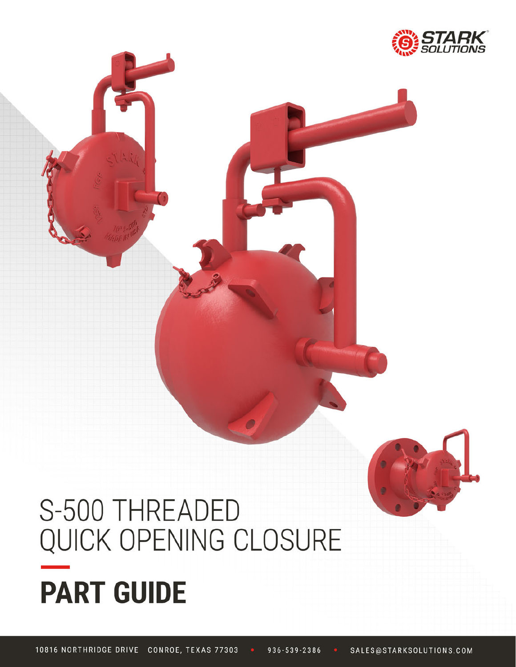

# S-500 THREADED QUICK OPENING CLOSURE **PART GUIDE**

10816 NORTHRIDGE DRIVE CONROE, TEXAS 77303 936-539-2386 SALES@STARKSOLUTIONS.COM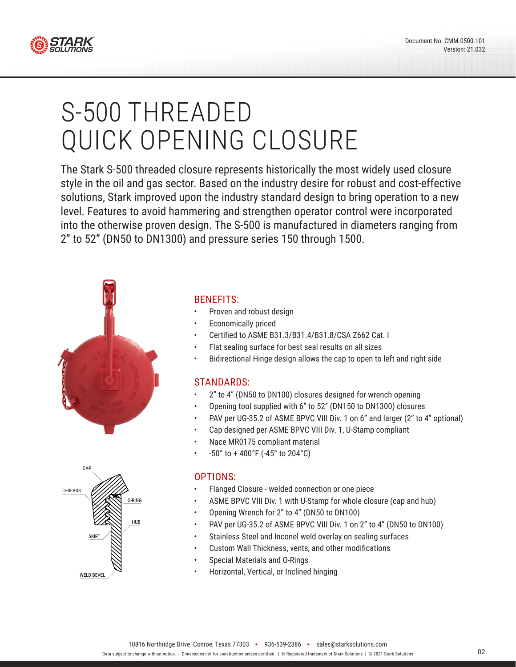

# S-500 THREADED QUICK OPENING CLOSURE

The Stark S-500 threaded closure represents historically the most widely used closure style in the oil and gas sector. Based on the industry desire for robust and cost-effective solutions, Stark improved upon the industry standard design to bring operation to a new level. Features to avoid hammering and strengthen operator control were incorporated into the otherwise proven design. The S-500 is manufactured in diameters ranging from 2" to 52" (DN50 to DN1300) and pressure series 150 through 1500.





#### BENEFITS:

- Proven and robust design
- Economically priced
- Certified to ASME B31.3/B31.4/B31.8/CSA Z662 Cat. I
- Flat sealing surface for best seal results on all sizes
- Bidirectional Hinge design allows the cap to open to left and right side

#### STANDARDS:

- 2" to 4" (DN50 to DN100) closures designed for wrench opening
- Opening tool supplied with 6" to 52" (DN150 to DN1300) closures
- PAV per UG-35.2 of ASME BPVC VIII Div. 1 on 6" and larger (2" to 4" optional)
- Cap designed per ASME BPVC VIII Div. 1, U-Stamp compliant
- Nace MR0175 compliant material
- -50° to + 400°F (-45° to 204°C)

#### OPTIONS:

- Flanged Closure welded connection or one piece
- ASME BPVC VIII Div. 1 with U-Stamp for whole closure (cap and hub)
- Opening Wrench for 2" to 4" (DN50 to DN100)
- PAV per UG-35.2 of ASME BPVC VIII Div. 1 on 2" to 4" (DN50 to DN100)
- Stainless Steel and Inconel weld overlay on sealing surfaces
- Custom Wall Thickness, vents, and other modifications
- Special Materials and O-Rings
- Horizontal, Vertical, or Inclined hinging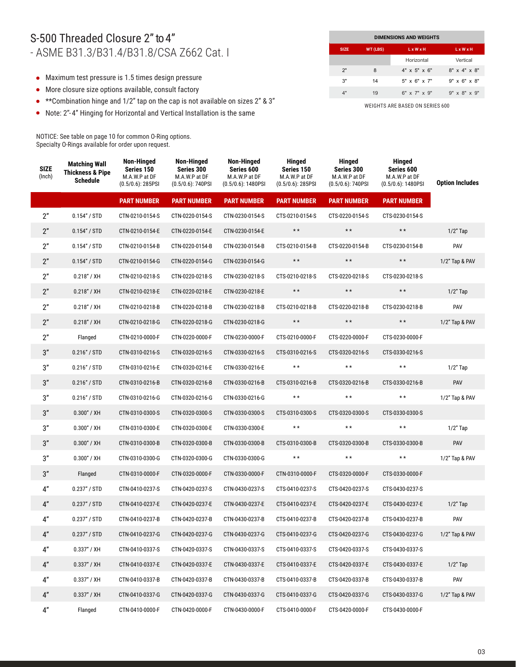#### S-500 Threaded Closure 2" to 4" - ASME B31.3/B31.4/B31.8/CSA Z662 Cat. I

- Maximum test pressure is 1.5 times design pressure
- More closure size options available, consult factory
- \*\*Combination hinge and 1/2" tap on the cap is not available on sizes 2" & 3"
- Note: 2"- 4" Hinging for Horizontal and Vertical Installation is the same

NOTICE: See table on page 10 for common O-Ring options. Specialty O-Rings available for order upon request.

| <b>DIMENSIONS AND WEIGHTS</b> |                                 |                          |                             |  |  |  |  |  |
|-------------------------------|---------------------------------|--------------------------|-----------------------------|--|--|--|--|--|
| <b>SIZE</b>                   | <b>WT (LBS)</b><br><b>LxWxH</b> |                          |                             |  |  |  |  |  |
|                               |                                 | Horizontal               | Vertical                    |  |  |  |  |  |
| 2"                            | 8                               | $4" \times 5" \times 6"$ | 8" x 4" x 8"                |  |  |  |  |  |
| 3"                            | 14                              | $5" \times 6" \times 7"$ | $9" \times 6" \times 8"$    |  |  |  |  |  |
| 4"                            | 19                              | $6''$ x $7''$ x $9''$    | $9'' \times 8'' \times 9''$ |  |  |  |  |  |

| <b>SIZE</b><br>(Inch) | <b>Matching Wall</b><br><b>Thickness &amp; Pipe</b><br><b>Schedule</b> | Non-Hinged<br>Series 150<br>M.A.W.P at DF<br>$(0.5/0.6)$ : 285PSI | Non-Hinged<br>Series 300<br>M.A.W.P at DF<br>$(0.5/0.6)$ : 740PSI | Non-Hinged<br>Series 600<br>M.A.W.P at DF<br>$(0.5/0.6)$ : 1480PSI | Hinged<br>Series 150<br>M.A.W.P at DF<br>$(0.5/0.6)$ : 285PSI | Hinged<br>Series 300<br>M.A.W.P at DF<br>$(0.5/0.6)$ : 740PSI | <b>Hinged</b><br>Series 600<br>M.A.W.P at DF<br>$(0.5/0.6)$ : 1480PSI | <b>Option Includes</b> |
|-----------------------|------------------------------------------------------------------------|-------------------------------------------------------------------|-------------------------------------------------------------------|--------------------------------------------------------------------|---------------------------------------------------------------|---------------------------------------------------------------|-----------------------------------------------------------------------|------------------------|
|                       |                                                                        | <b>PART NUMBER</b>                                                | <b>PART NUMBER</b>                                                | <b>PART NUMBER</b>                                                 | <b>PART NUMBER</b>                                            | <b>PART NUMBER</b>                                            | <b>PART NUMBER</b>                                                    |                        |
| 2"                    | 0.154'' / STD                                                          | CTN-0210-0154-S                                                   | CTN-0220-0154-S                                                   | CTN-0230-0154-S                                                    | CTS-0210-0154-S                                               | CTS-0220-0154-S                                               | CTS-0230-0154-S                                                       |                        |
| 2"                    | 0.154'' / STD                                                          | CTN-0210-0154-E                                                   | CTN-0220-0154-E                                                   | CTN-0230-0154-E                                                    | $\star$ $\star$                                               | $\star$ $\star$                                               | $\star\star$                                                          | $1/2$ " Tap            |
| 2"                    | 0.154'' / STD                                                          | CTN-0210-0154-B                                                   | CTN-0220-0154-B                                                   | CTN-0230-0154-B                                                    | CTS-0210-0154-B                                               | CTS-0220-0154-B                                               | CTS-0230-0154-B                                                       | PAV                    |
| 2"                    | 0.154'' / STD                                                          | CTN-0210-0154-G                                                   | CTN-0220-0154-G                                                   | CTN-0230-0154-G                                                    | $\star$ $\star$                                               | $\star$ $\star$                                               | $\star\star$                                                          | 1/2" Tap & PAV         |
| 2"                    | 0.218" / XH                                                            | CTN-0210-0218-S                                                   | CTN-0220-0218-S                                                   | CTN-0230-0218-S                                                    | CTS-0210-0218-S                                               | CTS-0220-0218-S                                               | CTS-0230-0218-S                                                       |                        |
| 2"                    | 0.218" / XH                                                            | CTN-0210-0218-E                                                   | CTN-0220-0218-E                                                   | CTN-0230-0218-E                                                    | $\star$ $\star$                                               | $\star$ $\star$                                               | $\star\star$                                                          | $1/2$ " Tap            |
| 2"                    | 0.218" / XH                                                            | CTN-0210-0218-B                                                   | CTN-0220-0218-B                                                   | CTN-0230-0218-B                                                    | CTS-0210-0218-B                                               | CTS-0220-0218-B                                               | CTS-0230-0218-B                                                       | PAV                    |
| 2"                    | 0.218" / XH                                                            | CTN-0210-0218-G                                                   | CTN-0220-0218-G                                                   | CTN-0230-0218-G                                                    | $\star$ $\star$                                               | $\star\star$                                                  | $\star\star$                                                          | 1/2" Tap & PAV         |
| 2"                    | Flanged                                                                | CTN-0210-0000-F                                                   | CTN-0220-0000-F                                                   | CTN-0230-0000-F                                                    | CTS-0210-0000-F                                               | CTS-0220-0000-F                                               | CTS-0230-0000-F                                                       |                        |
| 3"                    | 0.216" / STD                                                           | CTN-0310-0216-S                                                   | CTN-0320-0216-S                                                   | CTN-0330-0216-S                                                    | CTS-0310-0216-S                                               | CTS-0320-0216-S                                               | CTS-0330-0216-S                                                       |                        |
| 3"                    | 0.216'' / STD                                                          | CTN-0310-0216-E                                                   | CTN-0320-0216-E                                                   | CTN-0330-0216-E                                                    | $\star\star$                                                  | $\star\star$                                                  | $\star\star$                                                          | $1/2$ " Tap            |
| 3"                    | 0.216" / STD                                                           | CTN-0310-0216-B                                                   | CTN-0320-0216-B                                                   | CTN-0330-0216-B                                                    | CTS-0310-0216-B                                               | CTS-0320-0216-B                                               | CTS-0330-0216-B                                                       | PAV                    |
| 3"                    | 0.216'' / STD                                                          | CTN-0310-0216-G                                                   | CTN-0320-0216-G                                                   | CTN-0330-0216-G                                                    | $\star\star$                                                  | $\star\star$                                                  | $\star\star$                                                          | 1/2" Tap & PAV         |
| 3"                    | 0.300" / XH                                                            | CTN-0310-0300-S                                                   | CTN-0320-0300-S                                                   | CTN-0330-0300-S                                                    | CTS-0310-0300-S                                               | CTS-0320-0300-S                                               | CTS-0330-0300-S                                                       |                        |
| 3"                    | $0.300''$ / XH                                                         | CTN-0310-0300-E                                                   | CTN-0320-0300-E                                                   | CTN-0330-0300-E                                                    | $\star\star$                                                  | $\star\star$                                                  | $\star\star$                                                          | $1/2$ " Tap            |
| 3"                    | 0.300" / XH                                                            | CTN-0310-0300-B                                                   | CTN-0320-0300-B                                                   | CTN-0330-0300-B                                                    | CTS-0310-0300-B                                               | CTS-0320-0300-B                                               | CTS-0330-0300-B                                                       | PAV                    |
| 3"                    | $0.300''$ / XH                                                         | CTN-0310-0300-G                                                   | CTN-0320-0300-G                                                   | CTN-0330-0300-G                                                    | $\star\star$                                                  | $\star\star$                                                  | $\star\star$                                                          | 1/2" Tap & PAV         |
| 3"                    | Flanged                                                                | CTN-0310-0000-F                                                   | CTN-0320-0000-F                                                   | CTN-0330-0000-F                                                    | CTN-0310-0000-F                                               | CTS-0320-0000-F                                               | CTS-0330-0000-F                                                       |                        |
| 4"                    | 0.237''/STD                                                            | CTN-0410-0237-S                                                   | CTN-0420-0237-S                                                   | CTN-0430-0237-S                                                    | CTS-0410-0237-S                                               | CTS-0420-0237-S                                               | CTS-0430-0237-S                                                       |                        |
| 4"                    | 0.237'' / STD                                                          | CTN-0410-0237-E                                                   | CTN-0420-0237-E                                                   | CTN-0430-0237-E                                                    | CTS-0410-0237-E                                               | CTS-0420-0237-E                                               | CTS-0430-0237-E                                                       | $1/2$ " Tap            |
| 4"                    | 0.237''/STD                                                            | CTN-0410-0237-B                                                   | CTN-0420-0237-B                                                   | CTN-0430-0237-B                                                    | CTS-0410-0237-B                                               | CTS-0420-0237-B                                               | CTS-0430-0237-B                                                       | PAV                    |
| 4"                    | 0.237''/STD                                                            | CTN-0410-0237-G                                                   | CTN-0420-0237-G                                                   | CTN-0430-0237-G                                                    | CTS-0410-0237-G                                               | CTS-0420-0237-G                                               | CTS-0430-0237-G                                                       | 1/2" Tap & PAV         |
| $4"$                  | 0.337" / XH                                                            | CTN-0410-0337-S                                                   | CTN-0420-0337-S                                                   | CTN-0430-0337-S                                                    | CTS-0410-0337-S                                               | CTS-0420-0337-S                                               | CTS-0430-0337-S                                                       |                        |
| 4"                    | 0.337" / XH                                                            | CTN-0410-0337-E                                                   | CTN-0420-0337-E                                                   | CTN-0430-0337-E                                                    | CTS-0410-0337-E                                               | CTS-0420-0337-E                                               | CTS-0430-0337-E                                                       | $1/2$ " Tap            |
| 4"                    | 0.337" / XH                                                            | CTN-0410-0337-B                                                   | CTN-0420-0337-B                                                   | CTN-0430-0337-B                                                    | CTS-0410-0337-B                                               | CTS-0420-0337-B                                               | CTS-0430-0337-B                                                       | PAV                    |
| 4"                    | $0.337''$ / XH                                                         | CTN-0410-0337-G                                                   | CTN-0420-0337-G                                                   | CTN-0430-0337-G                                                    | CTS-0410-0337-G                                               | CTS-0420-0337-G                                               | CTS-0430-0337-G                                                       | 1/2" Tap & PAV         |
| $4"$                  | Flanged                                                                | CTN-0410-0000-F                                                   | CTN-0420-0000-F                                                   | CTN-0430-0000-F                                                    | CTS-0410-0000-F                                               | CTS-0420-0000-F                                               | CTS-0430-0000-F                                                       |                        |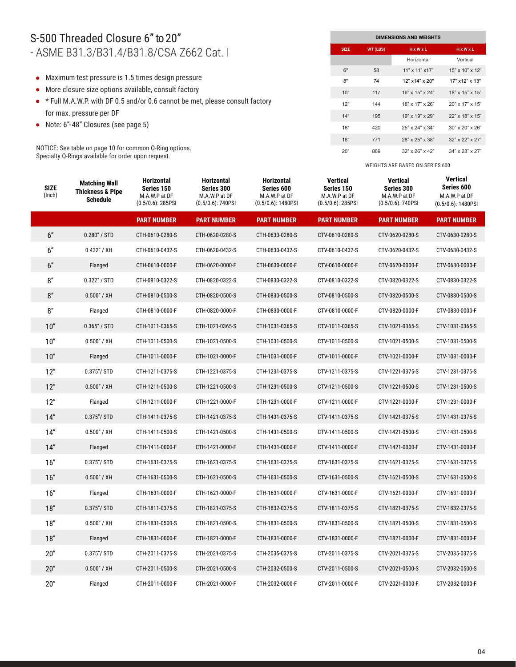#### S-500 Threaded Closure 6" to 20" - ASME B31.3/B31.4/B31.8/CSA Z662 Cat. I

- Maximum test pressure is 1.5 times design pressure
- More closure size options available, consult factory
- \* Full M.A.W.P. with DF 0.5 and/or 0.6 cannot be met, please consult factory for max. pressure per DF
- Note: 6"- 48" Closures (see page 5)

NOTICE: See table on page 10 for common O-Ring options. Specialty O-Rings available for order upon request.

| <b>DIMENSIONS AND WEIGHTS</b> |          |                       |                          |  |  |  |  |  |  |
|-------------------------------|----------|-----------------------|--------------------------|--|--|--|--|--|--|
| <b>SIZE</b>                   | WT (LBS) | $H \times W \times L$ | <b>HxWxL</b>             |  |  |  |  |  |  |
|                               |          | Horizontal            | Vertical                 |  |  |  |  |  |  |
| 6"                            | 58       | $11"$ x $11"$ x $17"$ | 15" x 10" x 12"          |  |  |  |  |  |  |
| 8"                            | 74       | $12"$ x14" x $20"$    | $17"$ x $12"$ x $13"$    |  |  |  |  |  |  |
| 10"                           | 117      | 16" x 15" x 24"       | 18" x 15" x 15"          |  |  |  |  |  |  |
| 12"                           | 144      | $18"$ x $17"$ x $26"$ | $20"$ x 17" x 15"        |  |  |  |  |  |  |
| 14"                           | 195      | 19" x 19" x 29"       | 22" x 18" x 15"          |  |  |  |  |  |  |
| 16"                           | 420      | 25" x 24" x 34"       | $30''$ x $20''$ x $26''$ |  |  |  |  |  |  |
| 18"                           | 771      | 28" x 25" x 38"       | 32" x 22" x 27"          |  |  |  |  |  |  |
| 20"                           | 889      | $32"$ x $26"$ x $42"$ | 34" x 23" x 27"          |  |  |  |  |  |  |

| <b>SIZE</b><br>(Inch) | <b>Matching Wall</b><br><b>Thickness &amp; Pipe</b><br><b>Schedule</b> | <b>Horizontal</b><br>Series 150<br>M.A.W.P at DF<br>$(0.5/0.6)$ : 285PSI | <b>Horizontal</b><br>Series 300<br>M.A.W.P at DF<br>$(0.5/0.6)$ : 740PSI | <b>Horizontal</b><br>Series 600<br>M.A.W.P at DF<br>$(0.5/0.6)$ : 1480PSI | <b>Vertical</b><br>Series 150<br>M.A.W.P at DF<br>$(0.5/0.6)$ : 285PSI | <b>Vertical</b><br>Series 300<br>M.A.W.P at DF<br>$(0.5/0.6)$ : 740PSI | <b>Vertical</b><br>Series 600<br>M.A.W.P at DF<br>$(0.5/0.6)$ : 1480PSI |
|-----------------------|------------------------------------------------------------------------|--------------------------------------------------------------------------|--------------------------------------------------------------------------|---------------------------------------------------------------------------|------------------------------------------------------------------------|------------------------------------------------------------------------|-------------------------------------------------------------------------|
|                       |                                                                        | <b>PART NUMBER</b>                                                       | <b>PART NUMBER</b>                                                       | <b>PART NUMBER</b>                                                        | <b>PART NUMBER</b>                                                     | <b>PART NUMBER</b>                                                     | <b>PART NUMBER</b>                                                      |
| 6"                    | 0.280'' / STD                                                          | CTH-0610-0280-S                                                          | CTH-0620-0280-S                                                          | CTH-0630-0280-S                                                           | CTV-0610-0280-S                                                        | CTV-0620-0280-S                                                        | CTV-0630-0280-S                                                         |
| 6"                    | 0.432" / XH                                                            | CTH-0610-0432-S                                                          | CTH-0620-0432-S                                                          | CTH-0630-0432-S                                                           | CTV-0610-0432-S                                                        | CTV-0620-0432-S                                                        | CTV-0630-0432-S                                                         |
| 6"                    | Flanged                                                                | CTH-0610-0000-F                                                          | CTH-0620-0000-F                                                          | CTH-0630-0000-F                                                           | CTV-0610-0000-F                                                        | CTV-0620-0000-F                                                        | CTV-0630-0000-F                                                         |
| 8"                    | 0.322" / STD                                                           | CTH-0810-0322-S                                                          | CTH-0820-0322-S                                                          | CTH-0830-0322-S                                                           | CTV-0810-0322-S                                                        | CTV-0820-0322-S                                                        | CTV-0830-0322-S                                                         |
| 8"                    | 0.500" / XH                                                            | CTH-0810-0500-S                                                          | CTH-0820-0500-S                                                          | CTH-0830-0500-S                                                           | CTV-0810-0500-S                                                        | CTV-0820-0500-S                                                        | CTV-0830-0500-S                                                         |
| 8"                    | Flanged                                                                | CTH-0810-0000-F                                                          | CTH-0820-0000-F                                                          | CTH-0830-0000-F                                                           | CTV-0810-0000-F                                                        | CTV-0820-0000-F                                                        | CTV-0830-0000-F                                                         |
| 10"                   | 0.365'' / STD                                                          | CTH-1011-0365-S                                                          | CTH-1021-0365-S                                                          | CTH-1031-0365-S                                                           | CTV-1011-0365-S                                                        | CTV-1021-0365-S                                                        | CTV-1031-0365-S                                                         |
| 10"                   | $0.500''$ / XH                                                         | CTH-1011-0500-S                                                          | CTH-1021-0500-S                                                          | CTH-1031-0500-S                                                           | CTV-1011-0500-S                                                        | CTV-1021-0500-S                                                        | CTV-1031-0500-S                                                         |
| 10"                   | Flanged                                                                | CTH-1011-0000-F                                                          | CTH-1021-0000-F                                                          | CTH-1031-0000-F                                                           | CTV-1011-0000-F                                                        | CTV-1021-0000-F                                                        | CTV-1031-0000-F                                                         |
| 12"                   | $0.375''/$ STD                                                         | CTH-1211-0375-S                                                          | CTH-1221-0375-S                                                          | CTH-1231-0375-S                                                           | CTV-1211-0375-S                                                        | CTV-1221-0375-S                                                        | CTV-1231-0375-S                                                         |
| 12"                   | 0.500" / XH                                                            | CTH-1211-0500-S                                                          | CTH-1221-0500-S                                                          | CTH-1231-0500-S                                                           | CTV-1211-0500-S                                                        | CTV-1221-0500-S                                                        | CTV-1231-0500-S                                                         |
| 12"                   | Flanged                                                                | CTH-1211-0000-F                                                          | CTH-1221-0000-F                                                          | CTH-1231-0000-F                                                           | CTV-1211-0000-F                                                        | CTV-1221-0000-F                                                        | CTV-1231-0000-F                                                         |
| 14"                   | $0.375''/$ STD                                                         | CTH-1411-0375-S                                                          | CTH-1421-0375-S                                                          | CTH-1431-0375-S                                                           | CTV-1411-0375-S                                                        | CTV-1421-0375-S                                                        | CTV-1431-0375-S                                                         |
| 14"                   | $0.500''$ / XH                                                         | CTH-1411-0500-S                                                          | CTH-1421-0500-S                                                          | CTH-1431-0500-S                                                           | CTV-1411-0500-S                                                        | CTV-1421-0500-S                                                        | CTV-1431-0500-S                                                         |
| 14"                   | Flanged                                                                | CTH-1411-0000-F                                                          | CTH-1421-0000-F                                                          | CTH-1431-0000-F                                                           | CTV-1411-0000-F                                                        | CTV-1421-0000-F                                                        | CTV-1431-0000-F                                                         |
| 16"                   | $0.375''/$ STD                                                         | CTH-1631-0375-S                                                          | CTH-1621-0375-S                                                          | CTH-1631-0375-S                                                           | CTV-1631-0375-S                                                        | CTV-1621-0375-S                                                        | CTV-1631-0375-S                                                         |
| 16"                   | 0.500" / XH                                                            | CTH-1631-0500-S                                                          | CTH-1621-0500-S                                                          | CTH-1631-0500-S                                                           | CTV-1631-0500-S                                                        | CTV-1621-0500-S                                                        | CTV-1631-0500-S                                                         |
| 16"                   | Flanged                                                                | CTH-1631-0000-F                                                          | CTH-1621-0000-F                                                          | CTH-1631-0000-F                                                           | CTV-1631-0000-F                                                        | CTV-1621-0000-F                                                        | CTV-1631-0000-F                                                         |
| 18"                   | $0.375''/$ STD                                                         | CTH-1811-0375-S                                                          | CTH-1821-0375-S                                                          | CTH-1832-0375-S                                                           | CTV-1811-0375-S                                                        | CTV-1821-0375-S                                                        | CTV-1832-0375-S                                                         |
| $18"$                 | 0.500" / XH                                                            | CTH-1831-0500-S                                                          | CTH-1821-0500-S                                                          | CTH-1831-0500-S                                                           | CTV-1831-0500-S                                                        | CTV-1821-0500-S                                                        | CTV-1831-0500-S                                                         |
| 18"                   | Flanged                                                                | CTH-1831-0000-F                                                          | CTH-1821-0000-F                                                          | CTH-1831-0000-F                                                           | CTV-1831-0000-F                                                        | CTV-1821-0000-F                                                        | CTV-1831-0000-F                                                         |
| 20"                   | $0.375''/$ STD                                                         | CTH-2011-0375-S                                                          | CTH-2021-0375-S                                                          | CTH-2035-0375-S                                                           | CTV-2011-0375-S                                                        | CTV-2021-0375-S                                                        | CTV-2035-0375-S                                                         |
| 20"                   | 0.500" / XH                                                            | CTH-2011-0500-S                                                          | CTH-2021-0500-S                                                          | CTH-2032-0500-S                                                           | CTV-2011-0500-S                                                        | CTV-2021-0500-S                                                        | CTV-2032-0500-S                                                         |
| 20"                   | Flanged                                                                | CTH-2011-0000-F                                                          | CTH-2021-0000-F                                                          | CTH-2032-0000-F                                                           | CTV-2011-0000-F                                                        | CTV-2021-0000-F                                                        | CTV-2032-0000-F                                                         |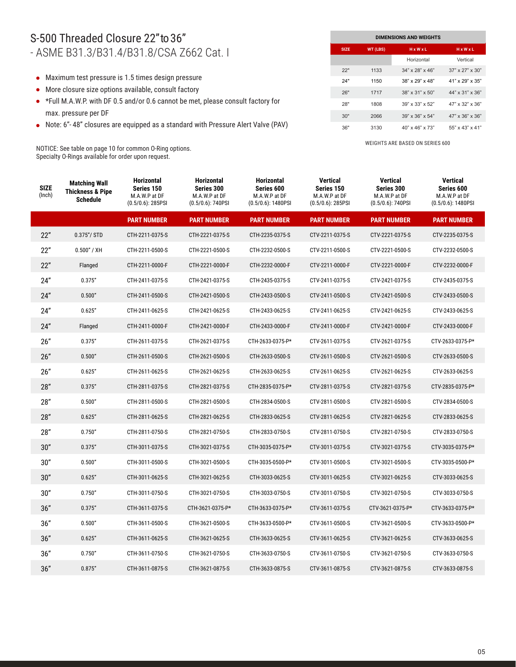#### S-500 Threaded Closure 22" to 36" - ASME B31.3/B31.4/B31.8/CSA Z662 Cat. I

- Maximum test pressure is 1.5 times design pressure
- More closure size options available, consult factory
- \*Full M.A.W.P. with DF 0.5 and/or 0.6 cannot be met, please consult factory for max. pressure per DF
- Note: 6"- 48" closures are equipped as a standard with Pressure Alert Valve (PAV)

NOTICE: See table on page 10 for common O-Ring options. Specialty O-Rings available for order upon request.

| <b>DIMENSIONS AND WEIGHTS</b> |          |                             |                             |  |  |  |  |  |  |
|-------------------------------|----------|-----------------------------|-----------------------------|--|--|--|--|--|--|
| <b>SIZE</b>                   | WT (LBS) | HxWxL                       | $H \times W \times L$       |  |  |  |  |  |  |
|                               |          | Horizontal                  | Vertical                    |  |  |  |  |  |  |
| 22"                           | 1133     | $34" \times 28" \times 46"$ | $37" \times 27" \times 30"$ |  |  |  |  |  |  |
| 24"                           | 1150     | $38" \times 29" \times 48"$ | $41"$ x 29" x 35"           |  |  |  |  |  |  |
| 26"                           | 1717     | 38" x 31" x 50"             | 44" x 31" x 36"             |  |  |  |  |  |  |
| 28"                           | 1808     | $39''$ x $33''$ x $52''$    | 47" x 32" x 36"             |  |  |  |  |  |  |
| 30"                           | 2066     | $39" \times 36" \times 54"$ | 47" x 36" x 36"             |  |  |  |  |  |  |
| 36"                           | 3130     | $40" \times 46" \times 73"$ | $55" \times 43" \times 41"$ |  |  |  |  |  |  |

| <b>SIZE</b><br>(Inch) | <b>Matching Wall</b><br><b>Thickness &amp; Pipe</b><br><b>Schedule</b> | <b>Horizontal</b><br>Series 150<br>M.A.W.P at DF<br>$(0.5/0.6)$ : 285PSI | <b>Horizontal</b><br>Series 300<br>M.A.W.P at DF<br>$(0.5/0.6)$ : 740PSI | <b>Horizontal</b><br>Series 600<br>M.A.W.P at DF<br>$(0.5/0.6)$ : 1480PSI | <b>Vertical</b><br>Series 150<br>M.A.W.P at DF<br>$(0.5/0.6)$ : 285PSI | <b>Vertical</b><br>Series 300<br>M.A.W.P at DF<br>$(0.5/0.6)$ : 740PSI | Vertical<br>Series 600<br>M.A.W.P at DF<br>$(0.5/0.6)$ : 1480PSI |
|-----------------------|------------------------------------------------------------------------|--------------------------------------------------------------------------|--------------------------------------------------------------------------|---------------------------------------------------------------------------|------------------------------------------------------------------------|------------------------------------------------------------------------|------------------------------------------------------------------|
|                       |                                                                        | <b>PART NUMBER</b>                                                       | <b>PART NUMBER</b>                                                       | <b>PART NUMBER</b>                                                        | <b>PART NUMBER</b>                                                     | <b>PART NUMBER</b>                                                     | <b>PART NUMBER</b>                                               |
| 22"                   | $0.375''/$ STD                                                         | CTH-2211-0375-S                                                          | CTH-2221-0375-S                                                          | CTH-2235-0375-S                                                           | CTV-2211-0375-S                                                        | CTV-2221-0375-S                                                        | CTV-2235-0375-S                                                  |
| 22"                   | 0.500" / XH                                                            | CTH-2211-0500-S                                                          | CTH-2221-0500-S                                                          | CTH-2232-0500-S                                                           | CTV-2211-0500-S                                                        | CTV-2221-0500-S                                                        | CTV-2232-0500-S                                                  |
| 22"                   | Flanged                                                                | CTH-2211-0000-F                                                          | CTH-2221-0000-F                                                          | CTH-2232-0000-F                                                           | CTV-2211-0000-F                                                        | CTV-2221-0000-F                                                        | CTV-2232-0000-F                                                  |
| 24"                   | 0.375''                                                                | CTH-2411-0375-S                                                          | CTH-2421-0375-S                                                          | CTH-2435-0375-S                                                           | CTV-2411-0375-S                                                        | CTV-2421-0375-S                                                        | CTV-2435-0375-S                                                  |
| 24"                   | 0.500"                                                                 | CTH-2411-0500-S                                                          | CTH-2421-0500-S                                                          | CTH-2433-0500-S                                                           | CTV-2411-0500-S                                                        | CTV-2421-0500-S                                                        | CTV-2433-0500-S                                                  |
| 24"                   | 0.625"                                                                 | CTH-2411-0625-S                                                          | CTH-2421-0625-S                                                          | CTH-2433-0625-S                                                           | CTV-2411-0625-S                                                        | CTV-2421-0625-S                                                        | CTV-2433-0625-S                                                  |
| 24"                   | Flanged                                                                | CTH-2411-0000-F                                                          | CTH-2421-0000-F                                                          | CTH-2433-0000-F                                                           | CTV-2411-0000-F                                                        | CTV-2421-0000-F                                                        | CTV-2433-0000-F                                                  |
| 26"                   | 0.375''                                                                | CTH-2611-0375-S                                                          | CTH-2621-0375-S                                                          | CTH-2633-0375-P*                                                          | CTV-2611-0375-S                                                        | CTV-2621-0375-S                                                        | CTV-2633-0375-P*                                                 |
| 26"                   | 0.500"                                                                 | CTH-2611-0500-S                                                          | CTH-2621-0500-S                                                          | CTH-2633-0500-S                                                           | CTV-2611-0500-S                                                        | CTV-2621-0500-S                                                        | CTV-2633-0500-S                                                  |
| 26"                   | 0.625"                                                                 | CTH-2611-0625-S                                                          | CTH-2621-0625-S                                                          | CTH-2633-0625-S                                                           | CTV-2611-0625-S                                                        | CTV-2621-0625-S                                                        | CTV-2633-0625-S                                                  |
| 28"                   | 0.375''                                                                | CTH-2811-0375-S                                                          | CTH-2821-0375-S                                                          | CTH-2835-0375-P*                                                          | CTV-2811-0375-S                                                        | CTV-2821-0375-S                                                        | CTV-2835-0375-P*                                                 |
| 28"                   | 0.500"                                                                 | CTH-2811-0500-S                                                          | CTH-2821-0500-S                                                          | CTH-2834-0500-S                                                           | CTV-2811-0500-S                                                        | CTV-2821-0500-S                                                        | CTV-2834-0500-S                                                  |
| 28"                   | 0.625"                                                                 | CTH-2811-0625-S                                                          | CTH-2821-0625-S                                                          | CTH-2833-0625-S                                                           | CTV-2811-0625-S                                                        | CTV-2821-0625-S                                                        | CTV-2833-0625-S                                                  |
| 28"                   | 0.750"                                                                 | CTH-2811-0750-S                                                          | CTH-2821-0750-S                                                          | CTH-2833-0750-S                                                           | CTV-2811-0750-S                                                        | CTV-2821-0750-S                                                        | CTV-2833-0750-S                                                  |
| 30"                   | 0.375''                                                                | CTH-3011-0375-S                                                          | CTH-3021-0375-S                                                          | CTH-3035-0375-P*                                                          | CTV-3011-0375-S                                                        | CTV-3021-0375-S                                                        | CTV-3035-0375-P*                                                 |
| 30"                   | 0.500"                                                                 | CTH-3011-0500-S                                                          | CTH-3021-0500-S                                                          | CTH-3035-0500-P*                                                          | CTV-3011-0500-S                                                        | CTV-3021-0500-S                                                        | CTV-3035-0500-P*                                                 |
| 30"                   | 0.625"                                                                 | CTH-3011-0625-S                                                          | CTH-3021-0625-S                                                          | CTH-3033-0625-S                                                           | CTV-3011-0625-S                                                        | CTV-3021-0625-S                                                        | CTV-3033-0625-S                                                  |
| 30"                   | 0.750"                                                                 | CTH-3011-0750-S                                                          | CTH-3021-0750-S                                                          | CTH-3033-0750-S                                                           | CTV-3011-0750-S                                                        | CTV-3021-0750-S                                                        | CTV-3033-0750-S                                                  |
| 36"                   | 0.375''                                                                | CTH-3611-0375-S                                                          | CTH-3621-0375-P*                                                         | CTH-3633-0375-P*                                                          | CTV-3611-0375-S                                                        | CTV-3621-0375-P*                                                       | CTV-3633-0375-P*                                                 |
| 36"                   | 0.500"                                                                 | CTH-3611-0500-S                                                          | CTH-3621-0500-S                                                          | CTH-3633-0500-P*                                                          | CTV-3611-0500-S                                                        | CTV-3621-0500-S                                                        | CTV-3633-0500-P*                                                 |
| 36"                   | 0.625"                                                                 | CTH-3611-0625-S                                                          | CTH-3621-0625-S                                                          | CTH-3633-0625-S                                                           | CTV-3611-0625-S                                                        | CTV-3621-0625-S                                                        | CTV-3633-0625-S                                                  |
| 36"                   | 0.750"                                                                 | CTH-3611-0750-S                                                          | CTH-3621-0750-S                                                          | CTH-3633-0750-S                                                           | CTV-3611-0750-S                                                        | CTV-3621-0750-S                                                        | CTV-3633-0750-S                                                  |
| 36''                  | 0.875"                                                                 | CTH-3611-0875-S                                                          | CTH-3621-0875-S                                                          | CTH-3633-0875-S                                                           | CTV-3611-0875-S                                                        | CTV-3621-0875-S                                                        | CTV-3633-0875-S                                                  |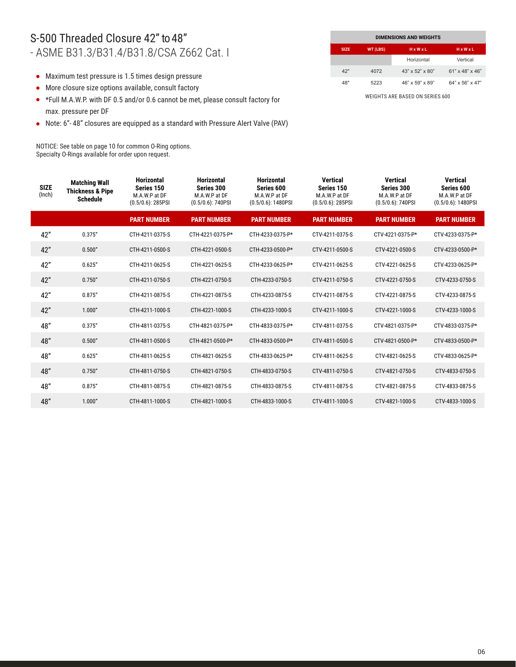#### S-500 Threaded Closure 42" to 48" - ASME B31.3/B31.4/B31.8/CSA Z662 Cat. I

- Maximum test pressure is 1.5 times design pressure
- More closure size options available, consult factory
- \*Full M.A.W.P. with DF 0.5 and/or 0.6 cannot be met, please consult factory for max. pressure per DF
- Note: 6"- 48" closures are equipped as a standard with Pressure Alert Valve (PAV)

NOTICE: See table on page 10 for common O-Ring options. Specialty O-Rings available for order upon request.

|             | <b>DIMENSIONS AND WEIGHTS</b> |                             |                             |  |  |  |  |  |  |  |
|-------------|-------------------------------|-----------------------------|-----------------------------|--|--|--|--|--|--|--|
| <b>SIZE</b> | WT (LBS)                      | HxWxL                       | HxWxL                       |  |  |  |  |  |  |  |
|             |                               | Horizontal                  | Vertical                    |  |  |  |  |  |  |  |
| 42"         | 4072                          | $43" \times 52" \times 80"$ | $61"$ x 48" x 46"           |  |  |  |  |  |  |  |
| 48"         | 5223                          | 46" x 59" x 89"             | $64" \times 56" \times 47"$ |  |  |  |  |  |  |  |

| <b>SIZE</b><br>(Inch) | <b>Matching Wall</b><br><b>Thickness &amp; Pipe</b><br><b>Schedule</b> | <b>Horizontal</b><br>Series 150<br>M.A.W.P at DF<br>$(0.5/0.6)$ : 285PSI | <b>Horizontal</b><br>Series 300<br>M.A.W.P at DF<br>$(0.5/0.6)$ : 740PSI | <b>Horizontal</b><br>Series 600<br>M.A.W.P at DF<br>$(0.5/0.6)$ : 1480PSI | <b>Vertical</b><br>Series 150<br>M.A.W.P at DF<br>$(0.5/0.6)$ : 285PSI | Vertical<br>Series 300<br>M.A.W.P at DF<br>$(0.5/0.6)$ : 740PSI | <b>Vertical</b><br>Series 600<br>M.A.W.P at DF<br>$(0.5/0.6)$ : 1480PSI |
|-----------------------|------------------------------------------------------------------------|--------------------------------------------------------------------------|--------------------------------------------------------------------------|---------------------------------------------------------------------------|------------------------------------------------------------------------|-----------------------------------------------------------------|-------------------------------------------------------------------------|
|                       |                                                                        | <b>PART NUMBER</b>                                                       | <b>PART NUMBER</b>                                                       | <b>PART NUMBER</b>                                                        | <b>PART NUMBER</b>                                                     | <b>PART NUMBER</b>                                              | <b>PART NUMBER</b>                                                      |
| 42"                   | 0.375''                                                                | CTH-4211-0375-S                                                          | CTH-4221-0375-P*                                                         | CTH-4233-0375-P*                                                          | CTV-4211-0375-S                                                        | CTV-4221-0375-P*                                                | CTV-4233-0375-P*                                                        |
| 42"                   | 0.500"                                                                 | CTH-4211-0500-S                                                          | CTH-4221-0500-S                                                          | CTH-4233-0500-P*                                                          | CTV-4211-0500-S                                                        | CTV-4221-0500-S                                                 | CTV-4233-0500-P*                                                        |
| 42"                   | 0.625"                                                                 | CTH-4211-0625-S                                                          | CTH-4221-0625-S                                                          | CTH-4233-0625-P*                                                          | CTV-4211-0625-S                                                        | CTV-4221-0625-S                                                 | CTV-4233-0625-P*                                                        |
| 42"                   | 0.750"                                                                 | CTH-4211-0750-S                                                          | CTH-4221-0750-S                                                          | CTH-4233-0750-S                                                           | CTV-4211-0750-S                                                        | CTV-4221-0750-S                                                 | CTV-4233-0750-S                                                         |
| 42"                   | 0.875''                                                                | CTH-4211-0875-S                                                          | CTH-4221-0875-S                                                          | CTH-4233-0875-S                                                           | CTV-4211-0875-S                                                        | CTV-4221-0875-S                                                 | CTV-4233-0875-S                                                         |
| 42"                   | 1.000"                                                                 | CTH-4211-1000-S                                                          | CTH-4221-1000-S                                                          | CTH-4233-1000-S                                                           | CTV-4211-1000-S                                                        | CTV-4221-1000-S                                                 | CTV-4233-1000-S                                                         |
| 48"                   | 0.375''                                                                | CTH-4811-0375-S                                                          | CTH-4821-0375-P*                                                         | CTH-4833-0375-P*                                                          | CTV-4811-0375-S                                                        | CTV-4821-0375-P*                                                | CTV-4833-0375-P*                                                        |
| 48"                   | 0.500"                                                                 | CTH-4811-0500-S                                                          | CTH-4821-0500-P*                                                         | CTH-4833-0500-P*                                                          | CTV-4811-0500-S                                                        | CTV-4821-0500-P*                                                | CTV-4833-0500-P*                                                        |
| 48"                   | 0.625"                                                                 | CTH-4811-0625-S                                                          | CTH-4821-0625-S                                                          | CTH-4833-0625-P*                                                          | CTV-4811-0625-S                                                        | CTV-4821-0625-S                                                 | CTV-4833-0625-P*                                                        |
| 48"                   | 0.750"                                                                 | CTH-4811-0750-S                                                          | CTH-4821-0750-S                                                          | CTH-4833-0750-S                                                           | CTV-4811-0750-S                                                        | CTV-4821-0750-S                                                 | CTV-4833-0750-S                                                         |
| 48"                   | 0.875''                                                                | CTH-4811-0875-S                                                          | CTH-4821-0875-S                                                          | CTH-4833-0875-S                                                           | CTV-4811-0875-S                                                        | CTV-4821-0875-S                                                 | CTV-4833-0875-S                                                         |
| 48"                   | 1.000"                                                                 | CTH-4811-1000-S                                                          | CTH-4821-1000-S                                                          | CTH-4833-1000-S                                                           | CTV-4811-1000-S                                                        | CTV-4821-1000-S                                                 | CTV-4833-1000-S                                                         |
|                       |                                                                        |                                                                          |                                                                          |                                                                           |                                                                        |                                                                 |                                                                         |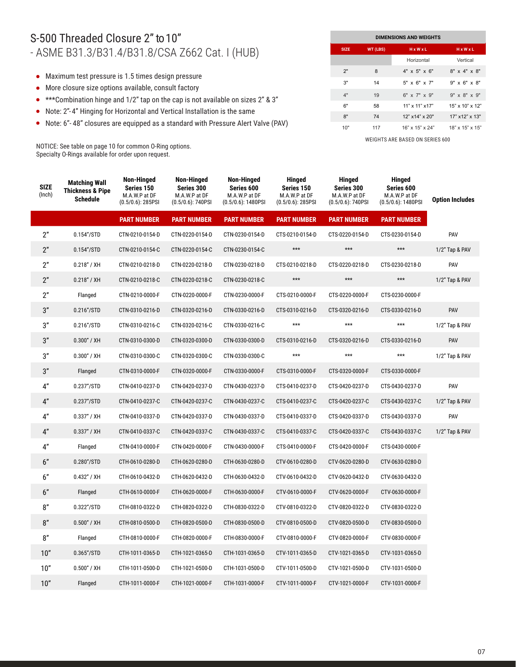## S-500 Threaded Closure 2" to 10" - ASME B31.3/B31.4/B31.8/CSA Z662 Cat. I (HUB)

- Maximum test pressure is 1.5 times design pressure
- More closure size options available, consult factory
- \*\*\*Combination hinge and 1/2" tap on the cap is not available on sizes 2" & 3"
- Note: 2"- 4" Hinging for Horizontal and Vertical Installation is the same
- Note: 6"- 48" closures are equipped as a standard with Pressure Alert Valve (PAV)

NOTICE: See table on page 10 for common O-Ring options. Specialty O-Rings available for order upon request.

| <b>DIMENSIONS AND WEIGHTS</b> |          |                       |                          |  |  |  |  |  |  |
|-------------------------------|----------|-----------------------|--------------------------|--|--|--|--|--|--|
| <b>SIZE</b>                   | WT (LBS) | HxWxL                 | $H \times W \times L$    |  |  |  |  |  |  |
|                               |          | Horizontal            | Vertical                 |  |  |  |  |  |  |
| 2"                            | 8        | $4"$ x 5" x 6"        | $8''$ x 4" x $8''$       |  |  |  |  |  |  |
| 3"                            | 14       | $5"$ x $6"$ x $7"$    | $9" \times 6" \times 8"$ |  |  |  |  |  |  |
| 4"                            | 19       | $6"$ x $7"$ x $9"$    | $9''$ x $8''$ x $9''$    |  |  |  |  |  |  |
| 6"                            | 58       | 11" x 11" x 17"       | $15"$ x $10"$ x $12"$    |  |  |  |  |  |  |
| 8"                            | 74       | 12" x14" x 20"        | 17" x12" x 13"           |  |  |  |  |  |  |
| 10"                           | 117      | $16"$ x $15"$ x $24"$ | $18"$ x $15"$ x $15"$    |  |  |  |  |  |  |

| <b>SIZE</b><br>(Inch) | <b>Matching Wall</b><br><b>Thickness &amp; Pipe</b><br><b>Schedule</b> | <b>Non-Hinged</b><br>Series 150<br>M.A.W.P at DF<br>$(0.5/0.6)$ : 285PSI | <b>Non-Hinged</b><br>Series 300<br>M.A.W.P at DF<br>$(0.5/0.6)$ : 740PSI | Non-Hinged<br>Series 600<br>M.A.W.P at DF<br>$(0.5/0.6)$ : 1480PSI | <b>Hinged</b><br>Series 150<br>M.A.W.P at DF<br>$(0.5/0.6)$ : 285PSI | <b>Hinged</b><br>Series 300<br>M.A.W.P at DF<br>$(0.5/0.6)$ : 740PSI | Hinged<br>Series 600<br>M.A.W.P at DF<br>$(0.5/0.6)$ : 1480PSI | <b>Option Includes</b> |
|-----------------------|------------------------------------------------------------------------|--------------------------------------------------------------------------|--------------------------------------------------------------------------|--------------------------------------------------------------------|----------------------------------------------------------------------|----------------------------------------------------------------------|----------------------------------------------------------------|------------------------|
|                       |                                                                        | <b>PART NUMBER</b>                                                       | <b>PART NUMBER</b>                                                       | <b>PART NUMBER</b>                                                 | <b>PART NUMBER</b>                                                   | <b>PART NUMBER</b>                                                   | <b>PART NUMBER</b>                                             |                        |
| 2"                    | 0.154"/STD                                                             | CTN-0210-0154-D                                                          | CTN-0220-0154-D                                                          | CTN-0230-0154-D                                                    | CTS-0210-0154-D                                                      | CTS-0220-0154-D                                                      | CTS-0230-0154-D                                                | PAV                    |
| 2"                    | 0.154''/STD                                                            | CTN-0210-0154-C                                                          | CTN-0220-0154-C                                                          | CTN-0230-0154-C                                                    | $***$                                                                | $***$                                                                | $***$                                                          | 1/2" Tap & PAV         |
| 2"                    | 0.218" / XH                                                            | CTN-0210-0218-D                                                          | CTN-0220-0218-D                                                          | CTN-0230-0218-D                                                    | CTS-0210-0218-D                                                      | CTS-0220-0218-D                                                      | CTS-0230-0218-D                                                | PAV                    |
| 2"                    | 0.218" / XH                                                            | CTN-0210-0218-C                                                          | CTN-0220-0218-C                                                          | CTN-0230-0218-C                                                    | $***$                                                                | $***$                                                                | $***$                                                          | 1/2" Tap & PAV         |
| 2"                    | Flanged                                                                | CTN-0210-0000-F                                                          | CTN-0220-0000-F                                                          | CTN-0230-0000-F                                                    | CTS-0210-0000-F                                                      | CTS-0220-0000-F                                                      | CTS-0230-0000-F                                                |                        |
| 3"                    | 0.216''/STD                                                            | CTN-0310-0216-D                                                          | CTN-0320-0216-D                                                          | CTN-0330-0216-D                                                    | CTS-0310-0216-D                                                      | CTS-0320-0216-D                                                      | CTS-0330-0216-D                                                | PAV                    |
| 3"                    | 0.216''/STD                                                            | CTN-0310-0216-C                                                          | CTN-0320-0216-C                                                          | CTN-0330-0216-C                                                    | $***$                                                                | $***$                                                                | $***$                                                          | 1/2" Tap & PAV         |
| 3"                    | $0.300''$ / XH                                                         | CTN-0310-0300-D                                                          | CTN-0320-0300-D                                                          | CTN-0330-0300-D                                                    | CTS-0310-0216-D                                                      | CTS-0320-0216-D                                                      | CTS-0330-0216-D                                                | PAV                    |
| 3"                    | 0.300" / XH                                                            | CTN-0310-0300-C                                                          | CTN-0320-0300-C                                                          | CTN-0330-0300-C                                                    | $***$                                                                | $***$                                                                | $***$                                                          | 1/2" Tap & PAV         |
| 3"                    | Flanged                                                                | CTN-0310-0000-F                                                          | CTN-0320-0000-F                                                          | CTN-0330-0000-F                                                    | CTS-0310-0000-F                                                      | CTS-0320-0000-F                                                      | CTS-0330-0000-F                                                |                        |
| 4"                    | 0.237"/STD                                                             | CTN-0410-0237-D                                                          | CTN-0420-0237-D                                                          | CTN-0430-0237-D                                                    | CTS-0410-0237-D                                                      | CTS-0420-0237-D                                                      | CTS-0430-0237-D                                                | PAV                    |
| 4"                    | 0.237''/STD                                                            | CTN-0410-0237-C                                                          | CTN-0420-0237-C                                                          | CTN-0430-0237-C                                                    | CTS-0410-0237-C                                                      | CTS-0420-0237-C                                                      | CTS-0430-0237-C                                                | 1/2" Tap & PAV         |
| 4"                    | $0.337''$ / XH                                                         | CTN-0410-0337-D                                                          | CTN-0420-0337-D                                                          | CTN-0430-0337-D                                                    | CTS-0410-0337-D                                                      | CTS-0420-0337-D                                                      | CTS-0430-0337-D                                                | PAV                    |
| 4"                    | $0.337''$ / XH                                                         | CTN-0410-0337-C                                                          | CTN-0420-0337-C                                                          | CTN-0430-0337-C                                                    | CTS-0410-0337-C                                                      | CTS-0420-0337-C                                                      | CTS-0430-0337-C                                                | 1/2" Tap & PAV         |
| 4"                    | Flanged                                                                | CTN-0410-0000-F                                                          | CTN-0420-0000-F                                                          | CTN-0430-0000-F                                                    | CTS-0410-0000-F                                                      | CTS-0420-0000-F                                                      | CTS-0430-0000-F                                                |                        |
| 6"                    | $0.280$ "/STD                                                          | CTH-0610-0280-D                                                          | CTH-0620-0280-D                                                          | CTH-0630-0280-D                                                    | CTV-0610-0280-D                                                      | CTV-0620-0280-D                                                      | CTV-0630-0280-D                                                |                        |
| 6"                    | 0.432" / XH                                                            | CTH-0610-0432-D                                                          | CTH-0620-0432-D                                                          | CTH-0630-0432-D                                                    | CTV-0610-0432-D                                                      | CTV-0620-0432-D                                                      | CTV-0630-0432-D                                                |                        |
| 6"                    | Flanged                                                                | CTH-0610-0000-F                                                          | CTH-0620-0000-F                                                          | CTH-0630-0000-F                                                    | CTV-0610-0000-F                                                      | CTV-0620-0000-F                                                      | CTV-0630-0000-F                                                |                        |
| 8"                    | 0.322"/STD                                                             | CTH-0810-0322-D                                                          | CTH-0820-0322-D                                                          | CTH-0830-0322-D                                                    | CTV-0810-0322-D                                                      | CTV-0820-0322-D                                                      | CTV-0830-0322-D                                                |                        |
| 8"                    | 0.500" / XH                                                            | CTH-0810-0500-D                                                          | CTH-0820-0500-D                                                          | CTH-0830-0500-D                                                    | CTV-0810-0500-D                                                      | CTV-0820-0500-D                                                      | CTV-0830-0500-D                                                |                        |
| 8"                    | Flanged                                                                | CTH-0810-0000-F                                                          | CTH-0820-0000-F                                                          | CTH-0830-0000-F                                                    | CTV-0810-0000-F                                                      | CTV-0820-0000-F                                                      | CTV-0830-0000-F                                                |                        |
| 10"                   | 0.365"/STD                                                             | CTH-1011-0365-D                                                          | CTH-1021-0365-D                                                          | CTH-1031-0365-D                                                    | CTV-1011-0365-D                                                      | CTV-1021-0365-D                                                      | CTV-1031-0365-D                                                |                        |
| 10"                   | 0.500" / XH                                                            | CTH-1011-0500-D                                                          | CTH-1021-0500-D                                                          | CTH-1031-0500-D                                                    | CTV-1011-0500-D                                                      | CTV-1021-0500-D                                                      | CTV-1031-0500-D                                                |                        |
| 10"                   | Flanged                                                                | CTH-1011-0000-F                                                          | CTH-1021-0000-F                                                          | CTH-1031-0000-F                                                    | CTV-1011-0000-F                                                      | CTV-1021-0000-F                                                      | CTV-1031-0000-F                                                |                        |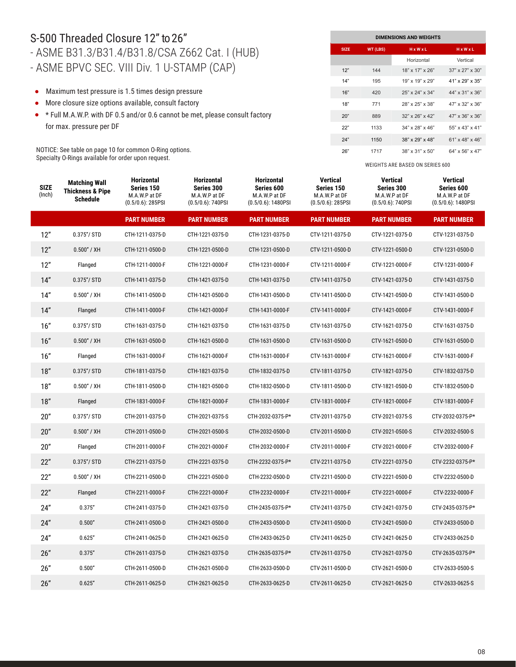### S-500 Threaded Closure 12" to 26" - ASME B31.3/B31.4/B31.8/CSA Z662 Cat. I (HUB) - ASME BPVC SEC. VIII Div. 1 U-STAMP (CAP)

- Maximum test pressure is 1.5 times design pressure
- More closure size options available, consult factory
- \* Full M.A.W.P. with DF 0.5 and/or 0.6 cannot be met, please consult factory for max. pressure per DF

NOTICE: See table on page 10 for common O-Ring options. Specialty O-Rings available for order upon request.

| <b>DIMENSIONS AND WEIGHTS</b> |          |                       |                             |  |  |  |  |  |  |
|-------------------------------|----------|-----------------------|-----------------------------|--|--|--|--|--|--|
| <b>SIZE</b>                   | WT (LBS) | $H \times W \times L$ | HxWxL                       |  |  |  |  |  |  |
|                               |          | Horizontal            | Vertical                    |  |  |  |  |  |  |
| 12"                           | 144      | 18" x 17" x 26"       | $37" \times 27" \times 30"$ |  |  |  |  |  |  |
| 14"                           | 195      | $19"$ x $19"$ x $29"$ | 41" x 29" x 35"             |  |  |  |  |  |  |
| 16"                           | 420      | 25" x 24" x 34"       | 44" x 31" x 36"             |  |  |  |  |  |  |
| 18"                           | 771      | 28" x 25" x 38"       | 47" x 32" x 36"             |  |  |  |  |  |  |
| 20"                           | 889      | $32"$ x $26"$ x $42"$ | 47" x 36" x 36"             |  |  |  |  |  |  |
| 22"                           | 1133     | $34"$ x 28" x 46"     | 55" x 43" x 41"             |  |  |  |  |  |  |
| 24"                           | 1150     | 38" x 29" x 48"       | $61"$ x 48" x 46"           |  |  |  |  |  |  |
| 26"                           | 1717     | 38" x 31" x 50"       | 64" x 56" x 47"             |  |  |  |  |  |  |

| <b>SIZE</b><br>(Inch) | <b>Matching Wall</b><br><b>Thickness &amp; Pipe</b><br><b>Schedule</b> | <b>Horizontal</b><br>Series 150<br>M.A.W.P at DF<br>$(0.5/0.6)$ : 285PSI | <b>Horizontal</b><br>Series 300<br>M.A.W.P at DF<br>(0.5/0.6): 740PSI | <b>Horizontal</b><br>Series 600<br>M.A.W.P at DF<br>$(0.5/0.6)$ : 1480PSI | <b>Vertical</b><br>Series 150<br>M.A.W.P at DF<br>$(0.5/0.6)$ : 285PSI | <b>Vertical</b><br>Series 300<br>M.A.W.P at DF<br>$(0.5/0.6)$ : 740PSI | <b>Vertical</b><br>Series 600<br>M.A.W.P at DF<br>$(0.5/0.6)$ : 1480PSI |
|-----------------------|------------------------------------------------------------------------|--------------------------------------------------------------------------|-----------------------------------------------------------------------|---------------------------------------------------------------------------|------------------------------------------------------------------------|------------------------------------------------------------------------|-------------------------------------------------------------------------|
|                       |                                                                        | <b>PART NUMBER</b>                                                       | <b>PART NUMBER</b>                                                    | <b>PART NUMBER</b>                                                        | <b>PART NUMBER</b>                                                     | <b>PART NUMBER</b>                                                     | <b>PART NUMBER</b>                                                      |
| 12"                   | $0.375''/$ STD                                                         | CTH-1211-0375-D                                                          | CTH-1221-0375-D                                                       | CTH-1231-0375-D                                                           | CTV-1211-0375-D                                                        | CTV-1221-0375-D                                                        | CTV-1231-0375-D                                                         |
| 12"                   | $0.500''$ / XH                                                         | CTH-1211-0500-D                                                          | CTH-1221-0500-D                                                       | CTH-1231-0500-D                                                           | CTV-1211-0500-D                                                        | CTV-1221-0500-D                                                        | CTV-1231-0500-D                                                         |
| 12"                   | Flanged                                                                | CTH-1211-0000-F                                                          | CTH-1221-0000-F                                                       | CTH-1231-0000-F                                                           | CTV-1211-0000-F                                                        | CTV-1221-0000-F                                                        | CTV-1231-0000-F                                                         |
| 14"                   | $0.375''/$ STD                                                         | CTH-1411-0375-D                                                          | CTH-1421-0375-D                                                       | CTH-1431-0375-D                                                           | CTV-1411-0375-D                                                        | CTV-1421-0375-D                                                        | CTV-1431-0375-D                                                         |
| 14"                   | 0.500" / XH                                                            | CTH-1411-0500-D                                                          | CTH-1421-0500-D                                                       | CTH-1431-0500-D                                                           | CTV-1411-0500-D                                                        | CTV-1421-0500-D                                                        | CTV-1431-0500-D                                                         |
| 14"                   | Flanged                                                                | CTH-1411-0000-F                                                          | CTH-1421-0000-F                                                       | CTH-1431-0000-F                                                           | CTV-1411-0000-F                                                        | CTV-1421-0000-F                                                        | CTV-1431-0000-F                                                         |
| 16"                   | $0.375''/$ STD                                                         | CTH-1631-0375-D                                                          | CTH-1621-0375-D                                                       | CTH-1631-0375-D                                                           | CTV-1631-0375-D                                                        | CTV-1621-0375-D                                                        | CTV-1631-0375-D                                                         |
| 16"                   | $0.500''$ / XH                                                         | CTH-1631-0500-D                                                          | CTH-1621-0500-D                                                       | CTH-1631-0500-D                                                           | CTV-1631-0500-D                                                        | CTV-1621-0500-D                                                        | CTV-1631-0500-D                                                         |
| 16"                   | Flanged                                                                | CTH-1631-0000-F                                                          | CTH-1621-0000-F                                                       | CTH-1631-0000-F                                                           | CTV-1631-0000-F                                                        | CTV-1621-0000-F                                                        | CTV-1631-0000-F                                                         |
| 18"                   | $0.375''/$ STD                                                         | CTH-1811-0375-D                                                          | CTH-1821-0375-D                                                       | CTH-1832-0375-D                                                           | CTV-1811-0375-D                                                        | CTV-1821-0375-D                                                        | CTV-1832-0375-D                                                         |
| 18"                   | 0.500" / XH                                                            | CTH-1811-0500-D                                                          | CTH-1821-0500-D                                                       | CTH-1832-0500-D                                                           | CTV-1811-0500-D                                                        | CTV-1821-0500-D                                                        | CTV-1832-0500-D                                                         |
| 18"                   | Flanged                                                                | CTH-1831-0000-F                                                          | CTH-1821-0000-F                                                       | CTH-1831-0000-F                                                           | CTV-1831-0000-F                                                        | CTV-1821-0000-F                                                        | CTV-1831-0000-F                                                         |
| 20"                   | $0.375''/$ STD                                                         | CTH-2011-0375-D                                                          | CTH-2021-0375-S                                                       | CTH-2032-0375-P*                                                          | CTV-2011-0375-D                                                        | CTV-2021-0375-S                                                        | CTV-2032-0375-P*                                                        |
| 20"                   | $0.500''$ / XH                                                         | CTH-2011-0500-D                                                          | CTH-2021-0500-S                                                       | CTH-2032-0500-D                                                           | CTV-2011-0500-D                                                        | CTV-2021-0500-S                                                        | CTV-2032-0500-S                                                         |
| 20"                   | Flanged                                                                | CTH-2011-0000-F                                                          | CTH-2021-0000-F                                                       | CTH-2032-0000-F                                                           | CTV-2011-0000-F                                                        | CTV-2021-0000-F                                                        | CTV-2032-0000-F                                                         |
| 22"                   | $0.375''/$ STD                                                         | CTH-2211-0375-D                                                          | CTH-2221-0375-D                                                       | CTH-2232-0375-P*                                                          | CTV-2211-0375-D                                                        | CTV-2221-0375-D                                                        | CTV-2232-0375-P*                                                        |
| 22"                   | 0.500" / XH                                                            | CTH-2211-0500-D                                                          | CTH-2221-0500-D                                                       | CTH-2232-0500-D                                                           | CTV-2211-0500-D                                                        | CTV-2221-0500-D                                                        | CTV-2232-0500-D                                                         |
| 22"                   | Flanged                                                                | CTH-2211-0000-F                                                          | CTH-2221-0000-F                                                       | CTH-2232-0000-F                                                           | CTV-2211-0000-F                                                        | CTV-2221-0000-F                                                        | CTV-2232-0000-F                                                         |
| 24"                   | 0.375''                                                                | CTH-2411-0375-D                                                          | CTH-2421-0375-D                                                       | CTH-2435-0375-P*                                                          | CTV-2411-0375-D                                                        | CTV-2421-0375-D                                                        | CTV-2435-0375-P*                                                        |
| 24"                   | 0.500"                                                                 | CTH-2411-0500-D                                                          | CTH-2421-0500-D                                                       | CTH-2433-0500-D                                                           | CTV-2411-0500-D                                                        | CTV-2421-0500-D                                                        | CTV-2433-0500-D                                                         |
| 24"                   | 0.625"                                                                 | CTH-2411-0625-D                                                          | CTH-2421-0625-D                                                       | CTH-2433-0625-D                                                           | CTV-2411-0625-D                                                        | CTV-2421-0625-D                                                        | CTV-2433-0625-D                                                         |
| 26"                   | 0.375''                                                                | CTH-2611-0375-D                                                          | CTH-2621-0375-D                                                       | CTH-2635-0375-P*                                                          | CTV-2611-0375-D                                                        | CTV-2621-0375-D                                                        | CTV-2635-0375-P*                                                        |
| 26"                   | 0.500"                                                                 | CTH-2611-0500-D                                                          | CTH-2621-0500-D                                                       | CTH-2633-0500-D                                                           | CTV-2611-0500-D                                                        | CTV-2621-0500-D                                                        | CTV-2633-0500-S                                                         |
| 26"                   | 0.625"                                                                 | CTH-2611-0625-D                                                          | CTH-2621-0625-D                                                       | CTH-2633-0625-D                                                           | CTV-2611-0625-D                                                        | CTV-2621-0625-D                                                        | CTV-2633-0625-S                                                         |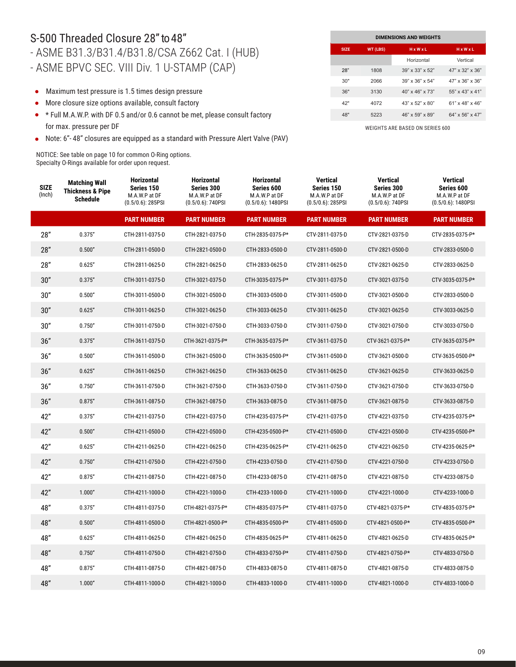### S-500 Threaded Closure 28" to 48" - ASME B31.3/B31.4/B31.8/CSA Z662 Cat. I (HUB) - ASME BPVC SEC. VIII Div. 1 U-STAMP (CAP)

- Maximum test pressure is 1.5 times design pressure
- More closure size options available, consult factory  $\bullet$
- \* Full M.A.W.P. with DF 0.5 and/or 0.6 cannot be met, please consult factory for max. pressure per DF
- Note: 6"- 48" closures are equipped as a standard with Pressure Alert Valve (PAV)

NOTICE: See table on page 10 for common O-Ring options. Specialty O-Rings available for order upon request.

| <b>DIMENSIONS AND WEIGHTS</b> |          |                             |                             |  |  |  |  |
|-------------------------------|----------|-----------------------------|-----------------------------|--|--|--|--|
| <b>SIZE</b>                   | WT (LBS) | HxWxL                       | <b>HxWxL</b>                |  |  |  |  |
|                               |          | Horizontal                  | Vertical                    |  |  |  |  |
| 28"                           | 1808     | $39" \times 33" \times 52"$ | 47" x 32" x 36"             |  |  |  |  |
| 30"                           | 2066     | $39" \times 36" \times 54"$ | $47" \times 36" \times 36"$ |  |  |  |  |
| 36"                           | 3130     | $40''$ x $46''$ x $73''$    | 55" x 43" x 41"             |  |  |  |  |
| 42"                           | 4072     | $43" \times 52" \times 80"$ | $61"$ x 48" x 46"           |  |  |  |  |
| 48"                           | 5223     | 46" x 59" x 89"             | 64" x 56" x 47"             |  |  |  |  |

| <b>SIZE</b><br>(Inch) | <b>Matching Wall</b><br><b>Thickness &amp; Pipe</b><br>Schedule | <b>Horizontal</b><br>Series 150<br>M.A.W.P at DF<br>$(0.5/0.6)$ : 285PSI | <b>Horizontal</b><br>Series 300<br>M.A.W.P at DF<br>$(0.5/0.6)$ : 740PSI | <b>Horizontal</b><br>Series 600<br>M.A.W.P at DF<br>$(0.5/0.6)$ : 1480PSI | Vertical<br>Series 150<br>M.A.W.P at DF<br>$(0.5/0.6)$ : 285PSI | <b>Vertical</b><br>Series 300<br>M.A.W.P at DF<br>$(0.5/0.6)$ : 740PSI | <b>Vertical</b><br>Series 600<br>M.A.W.P at DF<br>$(0.5/0.6)$ : 1480PSI |
|-----------------------|-----------------------------------------------------------------|--------------------------------------------------------------------------|--------------------------------------------------------------------------|---------------------------------------------------------------------------|-----------------------------------------------------------------|------------------------------------------------------------------------|-------------------------------------------------------------------------|
|                       |                                                                 | <b>PART NUMBER</b>                                                       | <b>PART NUMBER</b>                                                       | <b>PART NUMBER</b>                                                        | <b>PART NUMBER</b>                                              | <b>PART NUMBER</b>                                                     | <b>PART NUMBER</b>                                                      |
| 28"                   | 0.375''                                                         | CTH-2811-0375-D                                                          | CTH-2821-0375-D                                                          | CTH-2835-0375-P*                                                          | CTV-2811-0375-D                                                 | CTV-2821-0375-D                                                        | CTV-2835-0375-P*                                                        |
| 28"                   | 0.500"                                                          | CTH-2811-0500-D                                                          | CTH-2821-0500-D                                                          | CTH-2833-0500-D                                                           | CTV-2811-0500-D                                                 | CTV-2821-0500-D                                                        | CTV-2833-0500-D                                                         |
| 28"                   | 0.625"                                                          | CTH-2811-0625-D                                                          | CTH-2821-0625-D                                                          | CTH-2833-0625-D                                                           | CTV-2811-0625-D                                                 | CTV-2821-0625-D                                                        | CTV-2833-0625-D                                                         |
| 30"                   | 0.375''                                                         | CTH-3011-0375-D                                                          | CTH-3021-0375-D                                                          | CTH-3035-0375-P*                                                          | CTV-3011-0375-D                                                 | CTV-3021-0375-D                                                        | CTV-3035-0375-P*                                                        |
| 30"                   | 0.500"                                                          | CTH-3011-0500-D                                                          | CTH-3021-0500-D                                                          | CTH-3033-0500-D                                                           | CTV-3011-0500-D                                                 | CTV-3021-0500-D                                                        | CTV-2833-0500-D                                                         |
| 30"                   | 0.625"                                                          | CTH-3011-0625-D                                                          | CTH-3021-0625-D                                                          | CTH-3033-0625-D                                                           | CTV-3011-0625-D                                                 | CTV-3021-0625-D                                                        | CTV-3033-0625-D                                                         |
| 30"                   | 0.750''                                                         | CTH-3011-0750-D                                                          | CTH-3021-0750-D                                                          | CTH-3033-0750-D                                                           | CTV-3011-0750-D                                                 | CTV-3021-0750-D                                                        | CTV-3033-0750-D                                                         |
| 36"                   | 0.375''                                                         | CTH-3611-0375-D                                                          | CTH-3621-0375-P*                                                         | CTH-3635-0375-P*                                                          | CTV-3611-0375-D                                                 | CTV-3621-0375-P*                                                       | CTV-3635-0375-P*                                                        |
| 36"                   | 0.500"                                                          | CTH-3611-0500-D                                                          | CTH-3621-0500-D                                                          | CTH-3635-0500-P*                                                          | CTV-3611-0500-D                                                 | CTV-3621-0500-D                                                        | CTV-3635-0500-P*                                                        |
| 36"                   | 0.625"                                                          | CTH-3611-0625-D                                                          | CTH-3621-0625-D                                                          | CTH-3633-0625-D                                                           | CTV-3611-0625-D                                                 | CTV-3621-0625-D                                                        | CTV-3633-0625-D                                                         |
| 36"                   | 0.750''                                                         | CTH-3611-0750-D                                                          | CTH-3621-0750-D                                                          | CTH-3633-0750-D                                                           | CTV-3611-0750-D                                                 | CTV-3621-0750-D                                                        | CTV-3633-0750-D                                                         |
| 36"                   | 0.875''                                                         | CTH-3611-0875-D                                                          | CTH-3621-0875-D                                                          | CTH-3633-0875-D                                                           | CTV-3611-0875-D                                                 | CTV-3621-0875-D                                                        | CTV-3633-0875-D                                                         |
| 42"                   | 0.375''                                                         | CTH-4211-0375-D                                                          | CTH-4221-0375-D                                                          | CTH-4235-0375-P*                                                          | CTV-4211-0375-D                                                 | CTV-4221-0375-D                                                        | CTV-4235-0375-P*                                                        |
| 42"                   | 0.500"                                                          | CTH-4211-0500-D                                                          | CTH-4221-0500-D                                                          | CTH-4235-0500-P*                                                          | CTV-4211-0500-D                                                 | CTV-4221-0500-D                                                        | CTV-4235-0500-P*                                                        |
| 42"                   | 0.625"                                                          | CTH-4211-0625-D                                                          | CTH-4221-0625-D                                                          | CTH-4235-0625-P*                                                          | CTV-4211-0625-D                                                 | CTV-4221-0625-D                                                        | CTV-4235-0625-P*                                                        |
| 42"                   | 0.750''                                                         | CTH-4211-0750-D                                                          | CTH-4221-0750-D                                                          | CTH-4233-0750-D                                                           | CTV-4211-0750-D                                                 | CTV-4221-0750-D                                                        | CTV-4233-0750-D                                                         |
| 42"                   | 0.875''                                                         | CTH-4211-0875-D                                                          | CTH-4221-0875-D                                                          | CTH-4233-0875-D                                                           | CTV-4211-0875-D                                                 | CTV-4221-0875-D                                                        | CTV-4233-0875-D                                                         |
| 42"                   | 1.000"                                                          | CTH-4211-1000-D                                                          | CTH-4221-1000-D                                                          | CTH-4233-1000-D                                                           | CTV-4211-1000-D                                                 | CTV-4221-1000-D                                                        | CTV-4233-1000-D                                                         |
| 48"                   | 0.375''                                                         | CTH-4811-0375-D                                                          | CTH-4821-0375-P*                                                         | CTH-4835-0375-P*                                                          | CTV-4811-0375-D                                                 | CTV-4821-0375-P*                                                       | CTV-4835-0375-P*                                                        |
| 48"                   | 0.500"                                                          | CTH-4811-0500-D                                                          | CTH-4821-0500-P*                                                         | CTH-4835-0500-P*                                                          | CTV-4811-0500-D                                                 | CTV-4821-0500-P*                                                       | CTV-4835-0500-P*                                                        |
| 48"                   | 0.625"                                                          | CTH-4811-0625-D                                                          | CTH-4821-0625-D                                                          | CTH-4835-0625-P*                                                          | CTV-4811-0625-D                                                 | CTV-4821-0625-D                                                        | CTV-4835-0625-P*                                                        |
| 48"                   | 0.750"                                                          | CTH-4811-0750-D                                                          | CTH-4821-0750-D                                                          | CTH-4833-0750-P*                                                          | CTV-4811-0750-D                                                 | CTV-4821-0750-P*                                                       | CTV-4833-0750-D                                                         |
| 48"                   | 0.875''                                                         | CTH-4811-0875-D                                                          | CTH-4821-0875-D                                                          | CTH-4833-0875-D                                                           | CTV-4811-0875-D                                                 | CTV-4821-0875-D                                                        | CTV-4833-0875-D                                                         |
| 48"                   | 1.000"                                                          | CTH-4811-1000-D                                                          | CTH-4821-1000-D                                                          | CTH-4833-1000-D                                                           | CTV-4811-1000-D                                                 | CTV-4821-1000-D                                                        | CTV-4833-1000-D                                                         |